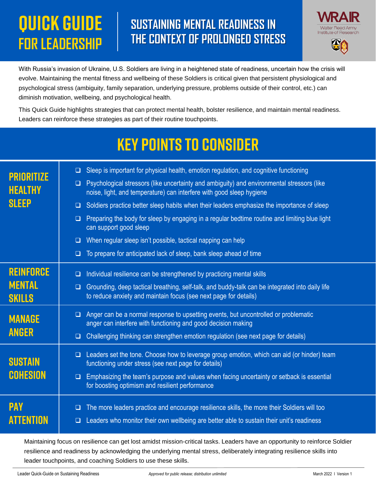## **QUICK GUIDE FOR LEADERSHIP**

## **SUSTAINING MENTAL READINESS IN THE CONTEXT OF PROLONGED STRESS**



With Russia's invasion of Ukraine, U.S. Soldiers are living in a heightened state of readiness, uncertain how the crisis will evolve. Maintaining the mental fitness and wellbeing of these Soldiers is critical given that persistent physiological and psychological stress (ambiguity, family separation, underlying pressure, problems outside of their control, etc.) can diminish motivation, wellbeing, and psychological health.

This Quick Guide highlights strategies that can protect mental health, bolster resilience, and maintain mental readiness. Leaders can reinforce these strategies as part of their routine touchpoints.

## **KEY POINTS TO CONSIDER**

| <b>PRIORITIZE</b><br><b>HEALTHY</b><br><b>SLEEP</b> | Sleep is important for physical health, emotion regulation, and cognitive functioning<br>$\Box$<br>Psychological stressors (like uncertainty and ambiguity) and environmental stressors (like<br>❏<br>noise, light, and temperature) can interfere with good sleep hygiene<br>Soldiers practice better sleep habits when their leaders emphasize the importance of sleep<br>$\Box$<br>Preparing the body for sleep by engaging in a regular bedtime routine and limiting blue light<br>$\Box$<br>can support good sleep<br>When regular sleep isn't possible, tactical napping can help<br>□<br>To prepare for anticipated lack of sleep, bank sleep ahead of time<br>❏ |
|-----------------------------------------------------|-------------------------------------------------------------------------------------------------------------------------------------------------------------------------------------------------------------------------------------------------------------------------------------------------------------------------------------------------------------------------------------------------------------------------------------------------------------------------------------------------------------------------------------------------------------------------------------------------------------------------------------------------------------------------|
| <b>REINFORCE</b><br><b>MENTAL</b><br><b>SKILLS</b>  | Individual resilience can be strengthened by practicing mental skills<br>$\Box$<br>Grounding, deep tactical breathing, self-talk, and buddy-talk can be integrated into daily life<br>$\Box$<br>to reduce anxiety and maintain focus (see next page for details)                                                                                                                                                                                                                                                                                                                                                                                                        |
| <b>MANAGE</b><br><b>ANGER</b>                       | Anger can be a normal response to upsetting events, but uncontrolled or problematic<br>$\Box$<br>anger can interfere with functioning and good decision making<br>Challenging thinking can strengthen emotion regulation (see next page for details)<br>$\Box$                                                                                                                                                                                                                                                                                                                                                                                                          |
| <b>SUSTAIN</b><br><b>COHESION</b>                   | $\Box$ Leaders set the tone. Choose how to leverage group emotion, which can aid (or hinder) team<br>functioning under stress (see next page for details)<br>Emphasizing the team's purpose and values when facing uncertainty or setback is essential<br>$\Box$<br>for boosting optimism and resilient performance                                                                                                                                                                                                                                                                                                                                                     |
| <b>PAY</b><br><b>ATTENTION</b>                      | The more leaders practice and encourage resilience skills, the more their Soldiers will too<br>□<br>Leaders who monitor their own wellbeing are better able to sustain their unit's readiness                                                                                                                                                                                                                                                                                                                                                                                                                                                                           |

Maintaining focus on resilience can get lost amidst mission-critical tasks. Leaders have an opportunity to reinforce Soldier resilience and readiness by acknowledging the underlying mental stress, deliberately integrating resilience skills into leader touchpoints, and coaching Soldiers to use these skills.